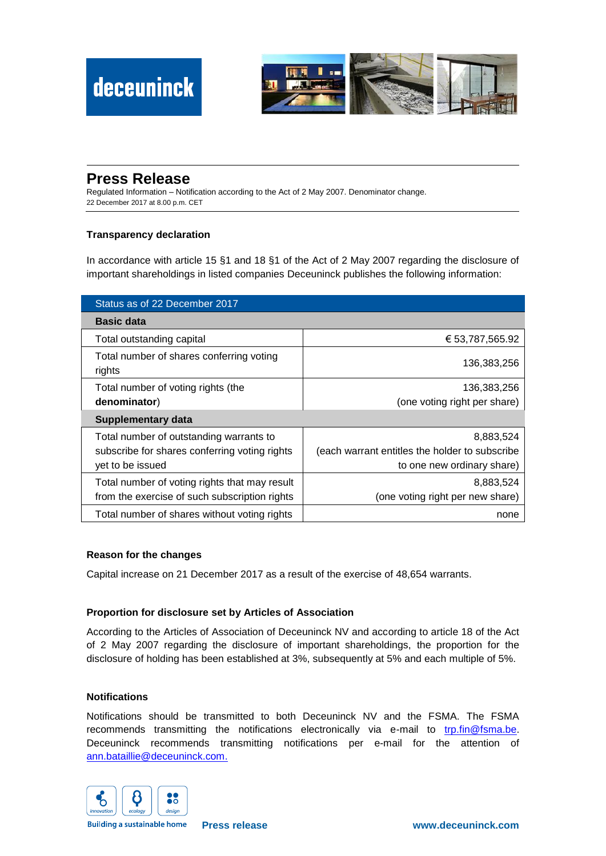

# **Press Release**

Regulated Information – Notification according to the Act of 2 May 2007. Denominator change. 22 December 2017 at 8.00 p.m. CET

## **Transparency declaration**

In accordance with article 15 §1 and 18 §1 of the Act of 2 May 2007 regarding the disclosure of important shareholdings in listed companies Deceuninck publishes the following information:

| Status as of 22 December 2017                      |                                                |
|----------------------------------------------------|------------------------------------------------|
| <b>Basic data</b>                                  |                                                |
| Total outstanding capital                          | € 53,787,565.92                                |
| Total number of shares conferring voting<br>rights | 136,383,256                                    |
| Total number of voting rights (the                 | 136,383,256                                    |
| denominator)                                       | (one voting right per share)                   |
| <b>Supplementary data</b>                          |                                                |
| Total number of outstanding warrants to            | 8,883,524                                      |
| subscribe for shares conferring voting rights      | (each warrant entitles the holder to subscribe |
| yet to be issued                                   | to one new ordinary share)                     |
| Total number of voting rights that may result      | 8.883.524                                      |
| from the exercise of such subscription rights      | (one voting right per new share)               |
| Total number of shares without voting rights       | none                                           |

### **Reason for the changes**

Capital increase on 21 December 2017 as a result of the exercise of 48,654 warrants.

### **Proportion for disclosure set by Articles of Association**

According to the Articles of Association of Deceuninck NV and according to article 18 of the Act of 2 May 2007 regarding the disclosure of important shareholdings, the proportion for the disclosure of holding has been established at 3%, subsequently at 5% and each multiple of 5%.

#### **Notifications**

Notifications should be transmitted to both Deceuninck NV and the FSMA. The FSMA recommends transmitting the notifications electronically via e-mail to [trp.fin@fsma.be.](mailto:trp.fin@fsma.be) Deceuninck recommends transmitting notifications per e-mail for the attention of [ann.bataillie@deceuninck.com.](mailto:ann.bataillie@deceuninck.com)



**Building a sustainable home**